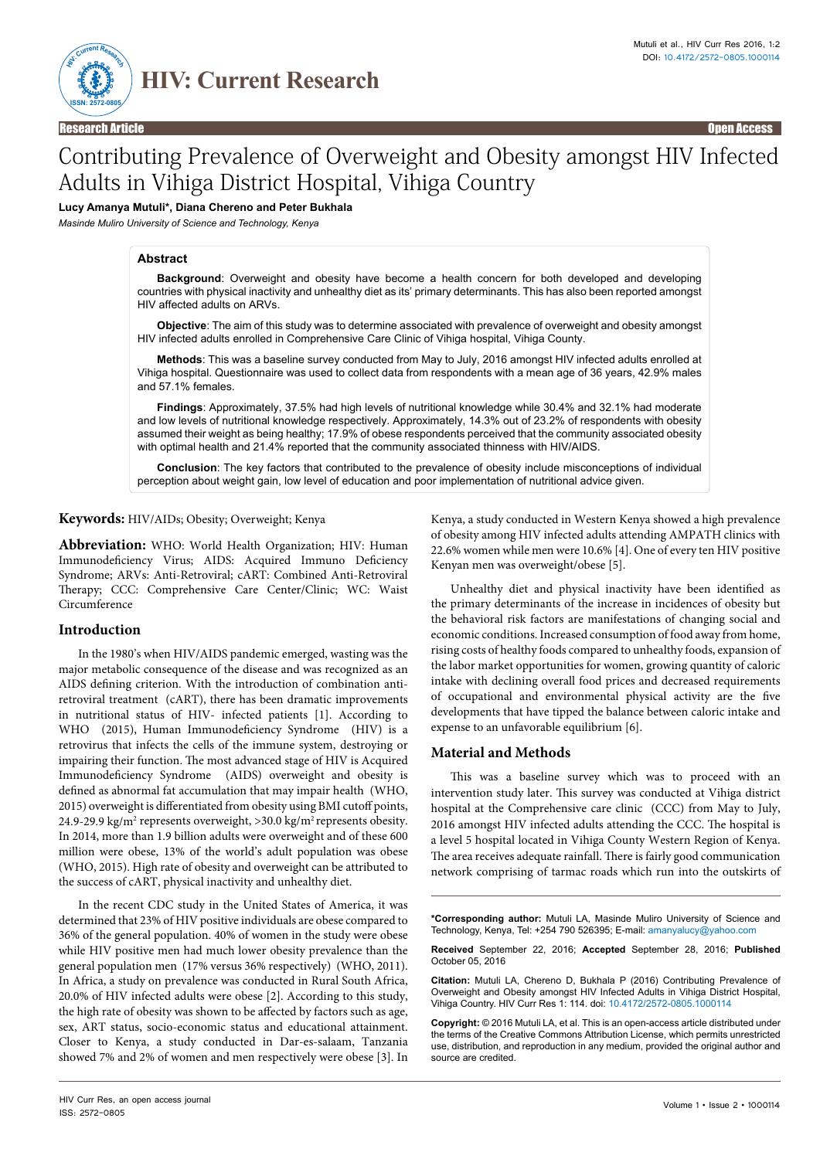

Research Article Open Access

# Contributing Prevalence of Overweight and Obesity amongst HIV Infected Adults in Vihiga District Hospital, Vihiga Country

# **Lucy Amanya Mutuli\*, Diana Chereno and Peter Bukhala**

*Masinde Muliro University of Science and Technology, Kenya*

#### **Abstract**

**Background**: Overweight and obesity have become a health concern for both developed and developing countries with physical inactivity and unhealthy diet as its' primary determinants. This has also been reported amongst HIV affected adults on ARVs.

**Objective**: The aim of this study was to determine associated with prevalence of overweight and obesity amongst HIV infected adults enrolled in Comprehensive Care Clinic of Vihiga hospital, Vihiga County.

**Methods**: This was a baseline survey conducted from May to July, 2016 amongst HIV infected adults enrolled at Vihiga hospital. Questionnaire was used to collect data from respondents with a mean age of 36 years, 42.9% males and 57.1% females.

**Findings**: Approximately, 37.5% had high levels of nutritional knowledge while 30.4% and 32.1% had moderate and low levels of nutritional knowledge respectively. Approximately, 14.3% out of 23.2% of respondents with obesity assumed their weight as being healthy; 17.9% of obese respondents perceived that the community associated obesity with optimal health and 21.4% reported that the community associated thinness with HIV/AIDS.

**Conclusion**: The key factors that contributed to the prevalence of obesity include misconceptions of individual perception about weight gain, low level of education and poor implementation of nutritional advice given.

# **Keywords:** HIV/AIDs; Obesity; Overweight; Kenya

**Abbreviation:** WHO: World Health Organization; HIV: Human Immunodeficiency Virus; AIDS: Acquired Immuno Deficiency Syndrome; ARVs: Anti-Retroviral; cART: Combined Anti-Retroviral Therapy; CCC: Comprehensive Care Center/Clinic; WC: Waist Circumference

## **Introduction**

In the 1980's when HIV/AIDS pandemic emerged, wasting was the major metabolic consequence of the disease and was recognized as an AIDS defining criterion. With the introduction of combination antiretroviral treatment (cART), there has been dramatic improvements in nutritional status of HIV- infected patients [1]. According to WHO (2015), Human Immunodeficiency Syndrome (HIV) is a retrovirus that infects the cells of the immune system, destroying or impairing their function. The most advanced stage of HIV is Acquired Immunodeficiency Syndrome (AIDS) overweight and obesity is defined as abnormal fat accumulation that may impair health (WHO, 2015) overweight is differentiated from obesity using BMI cutoff points, 24.9-29.9 kg/m<sup>2</sup> represents overweight, >30.0 kg/m<sup>2</sup> represents obesity. In 2014, more than 1.9 billion adults were overweight and of these 600 million were obese, 13% of the world's adult population was obese (WHO, 2015). High rate of obesity and overweight can be attributed to the success of cART, physical inactivity and unhealthy diet.

In the recent CDC study in the United States of America, it was determined that 23% of HIV positive individuals are obese compared to 36% of the general population. 40% of women in the study were obese while HIV positive men had much lower obesity prevalence than the general population men (17% versus 36% respectively) (WHO, 2011). In Africa, a study on prevalence was conducted in Rural South Africa, 20.0% of HIV infected adults were obese [2]. According to this study, the high rate of obesity was shown to be affected by factors such as age, sex, ART status, socio-economic status and educational attainment. Closer to Kenya, a study conducted in Dar-es-salaam, Tanzania showed 7% and 2% of women and men respectively were obese [3]. In Kenya, a study conducted in Western Kenya showed a high prevalence of obesity among HIV infected adults attending AMPATH clinics with 22.6% women while men were 10.6% [4]. One of every ten HIV positive Kenyan men was overweight/obese [5].

Unhealthy diet and physical inactivity have been identified as the primary determinants of the increase in incidences of obesity but the behavioral risk factors are manifestations of changing social and economic conditions. Increased consumption of food away from home, rising costs of healthy foods compared to unhealthy foods, expansion of the labor market opportunities for women, growing quantity of caloric intake with declining overall food prices and decreased requirements of occupational and environmental physical activity are the five developments that have tipped the balance between caloric intake and expense to an unfavorable equilibrium [6].

### **Material and Methods**

This was a baseline survey which was to proceed with an intervention study later. This survey was conducted at Vihiga district hospital at the Comprehensive care clinic (CCC) from May to July, 2016 amongst HIV infected adults attending the CCC. The hospital is a level 5 hospital located in Vihiga County Western Region of Kenya. The area receives adequate rainfall. There is fairly good communication network comprising of tarmac roads which run into the outskirts of

**\*Corresponding author:** Mutuli LA, Masinde Muliro University of Science and Technology, Kenya, Tel: +254 790 526395; E-mail: [amanyalucy@yahoo.com](mailto:amanyalucy@yahoo.com)

**Received** September 22, 2016; **Accepted** September 28, 2016; **Published** October 05, 2016

**Citation:** Mutuli LA, Chereno D, Bukhala P (2016) Contributing Prevalence of Overweight and Obesity amongst HIV Infected Adults in Vihiga District Hospital, Vihiga Country. HIV Curr Res 1: 114. doi: 10.4172/2572-0805.1000114

**Copyright:** © 2016 Mutuli LA, et al. This is an open-access article distributed under the terms of the Creative Commons Attribution License, which permits unrestricted use, distribution, and reproduction in any medium, provided the original author and source are credited.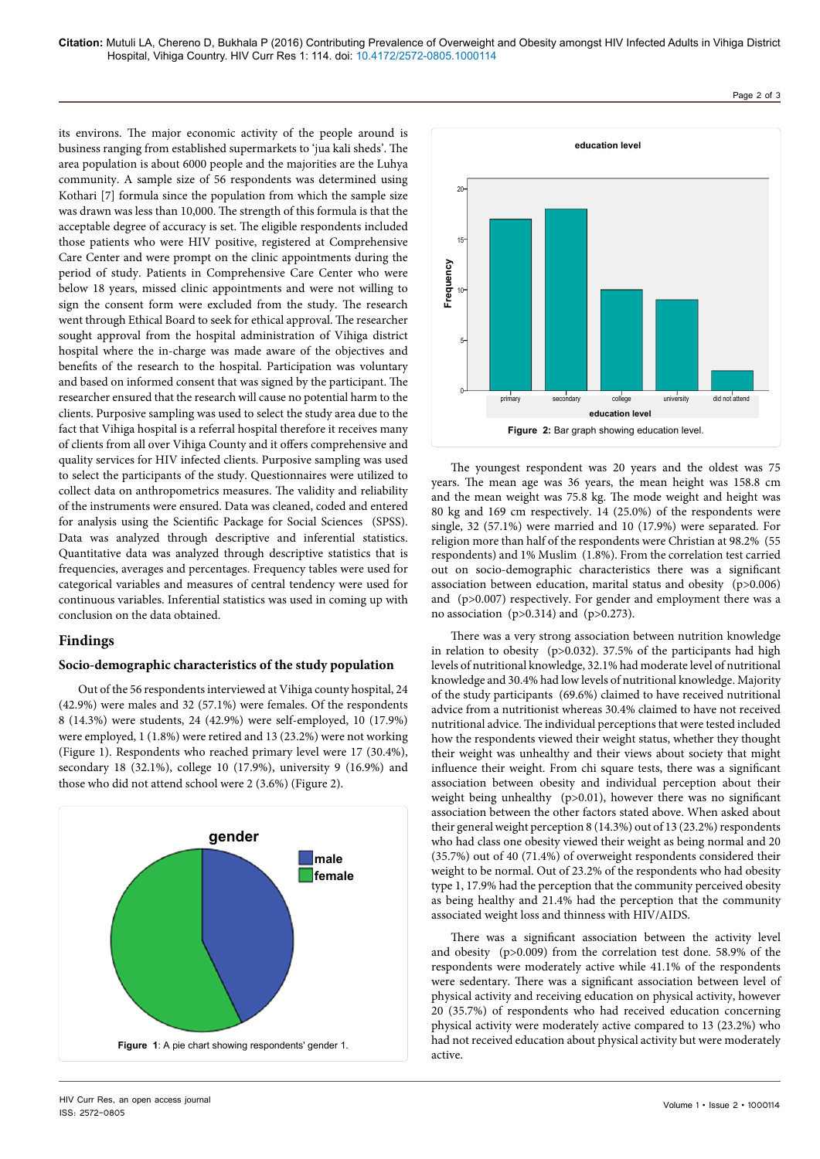its environs. The major economic activity of the people around is business ranging from established supermarkets to 'jua kali sheds'. The area population is about 6000 people and the majorities are the Luhya community. A sample size of 56 respondents was determined using Kothari [7] formula since the population from which the sample size was drawn was less than 10,000. The strength of this formula is that the acceptable degree of accuracy is set. The eligible respondents included those patients who were HIV positive, registered at Comprehensive Care Center and were prompt on the clinic appointments during the period of study. Patients in Comprehensive Care Center who were below 18 years, missed clinic appointments and were not willing to sign the consent form were excluded from the study. The research went through Ethical Board to seek for ethical approval. The researcher sought approval from the hospital administration of Vihiga district hospital where the in-charge was made aware of the objectives and benefits of the research to the hospital. Participation was voluntary and based on informed consent that was signed by the participant. The researcher ensured that the research will cause no potential harm to the clients. Purposive sampling was used to select the study area due to the fact that Vihiga hospital is a referral hospital therefore it receives many of clients from all over Vihiga County and it offers comprehensive and quality services for HIV infected clients. Purposive sampling was used to select the participants of the study. Questionnaires were utilized to collect data on anthropometrics measures. The validity and reliability of the instruments were ensured. Data was cleaned, coded and entered for analysis using the Scientific Package for Social Sciences (SPSS). Data was analyzed through descriptive and inferential statistics. Quantitative data was analyzed through descriptive statistics that is frequencies, averages and percentages. Frequency tables were used for categorical variables and measures of central tendency were used for continuous variables. Inferential statistics was used in coming up with conclusion on the data obtained.

# **Findings**

# **Socio-demographic characteristics of the study population**

Out of the 56 respondents interviewed at Vihiga county hospital, 24 (42.9%) were males and 32 (57.1%) were females. Of the respondents 8 (14.3%) were students, 24 (42.9%) were self-employed, 10 (17.9%) were employed, 1 (1.8%) were retired and 13 (23.2%) were not working (Figure 1). Respondents who reached primary level were 17 (30.4%), secondary 18 (32.1%), college 10 (17.9%), university 9 (16.9%) and those who did not attend school were 2 (3.6%) (Figure 2).





The youngest respondent was 20 years and the oldest was 75 years. The mean age was 36 years, the mean height was 158.8 cm and the mean weight was 75.8 kg. The mode weight and height was 80 kg and 169 cm respectively. 14 (25.0%) of the respondents were single, 32 (57.1%) were married and 10 (17.9%) were separated. For religion more than half of the respondents were Christian at 98.2% (55 respondents) and 1% Muslim (1.8%). From the correlation test carried out on socio-demographic characteristics there was a significant association between education, marital status and obesity (p>0.006) and (p>0.007) respectively. For gender and employment there was a no association  $(p>0.314)$  and  $(p>0.273)$ .

There was a very strong association between nutrition knowledge in relation to obesity (p>0.032). 37.5% of the participants had high levels of nutritional knowledge, 32.1% had moderate level of nutritional knowledge and 30.4% had low levels of nutritional knowledge. Majority of the study participants (69.6%) claimed to have received nutritional advice from a nutritionist whereas 30.4% claimed to have not received nutritional advice. The individual perceptions that were tested included how the respondents viewed their weight status, whether they thought their weight was unhealthy and their views about society that might influence their weight. From chi square tests, there was a significant association between obesity and individual perception about their weight being unhealthy (p>0.01), however there was no significant association between the other factors stated above. When asked about their general weight perception 8 (14.3%) out of 13 (23.2%) respondents who had class one obesity viewed their weight as being normal and 20 (35.7%) out of 40 (71.4%) of overweight respondents considered their weight to be normal. Out of 23.2% of the respondents who had obesity type 1, 17.9% had the perception that the community perceived obesity as being healthy and 21.4% had the perception that the community associated weight loss and thinness with HIV/AIDS.

There was a significant association between the activity level and obesity (p>0.009) from the correlation test done. 58.9% of the respondents were moderately active while 41.1% of the respondents were sedentary. There was a significant association between level of physical activity and receiving education on physical activity, however 20 (35.7%) of respondents who had received education concerning physical activity were moderately active compared to 13 (23.2%) who had not received education about physical activity but were moderately active.